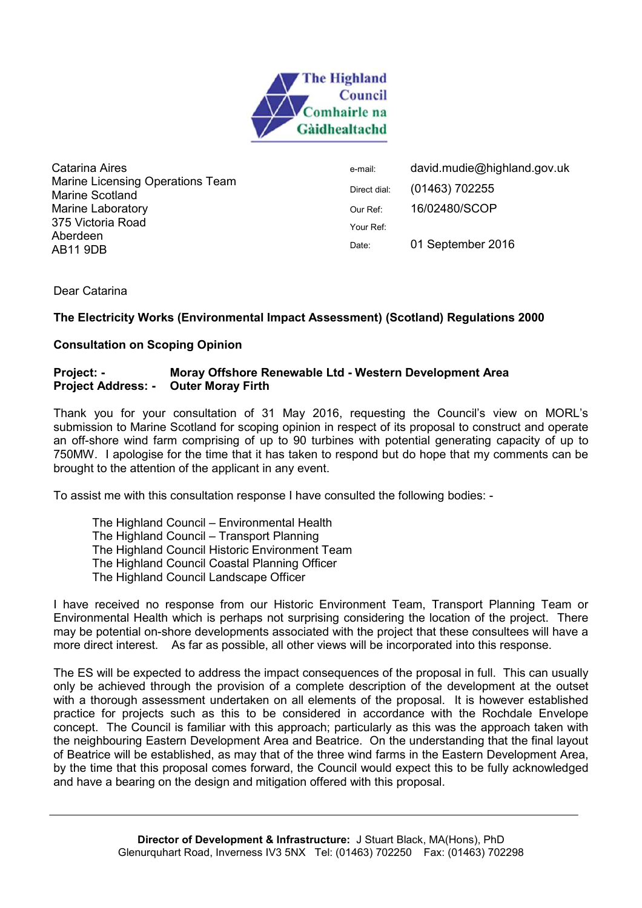

Catarina Aires Marine Licensing Operations Team Marine Scotland Marine Laboratory 375 Victoria Road Aberdeen AB11 9DB

e-mail: david.mudie@highland.gov.uk Direct dial: (01463) 702255 Our Ref: 16/02480/SCOP Your Ref: Date: 01 September 2016

Dear Catarina

# **The Electricity Works (Environmental Impact Assessment) (Scotland) Regulations 2000**

### **Consultation on Scoping Opinion**

### **Project: - Moray Offshore Renewable Ltd - Western Development Area Project Address: - Outer Moray Firth**

Thank you for your consultation of 31 May 2016, requesting the Council's view on MORL's submission to Marine Scotland for scoping opinion in respect of its proposal to construct and operate an off-shore wind farm comprising of up to 90 turbines with potential generating capacity of up to 750MW. I apologise for the time that it has taken to respond but do hope that my comments can be brought to the attention of the applicant in any event.

To assist me with this consultation response I have consulted the following bodies: -

The Highland Council – Environmental Health The Highland Council – Transport Planning The Highland Council Historic Environment Team The Highland Council Coastal Planning Officer The Highland Council Landscape Officer

I have received no response from our Historic Environment Team, Transport Planning Team or Environmental Health which is perhaps not surprising considering the location of the project. There may be potential on-shore developments associated with the project that these consultees will have a more direct interest. As far as possible, all other views will be incorporated into this response.

The ES will be expected to address the impact consequences of the proposal in full. This can usually only be achieved through the provision of a complete description of the development at the outset with a thorough assessment undertaken on all elements of the proposal. It is however established practice for projects such as this to be considered in accordance with the Rochdale Envelope concept. The Council is familiar with this approach; particularly as this was the approach taken with the neighbouring Eastern Development Area and Beatrice. On the understanding that the final layout of Beatrice will be established, as may that of the three wind farms in the Eastern Development Area, by the time that this proposal comes forward, the Council would expect this to be fully acknowledged and have a bearing on the design and mitigation offered with this proposal.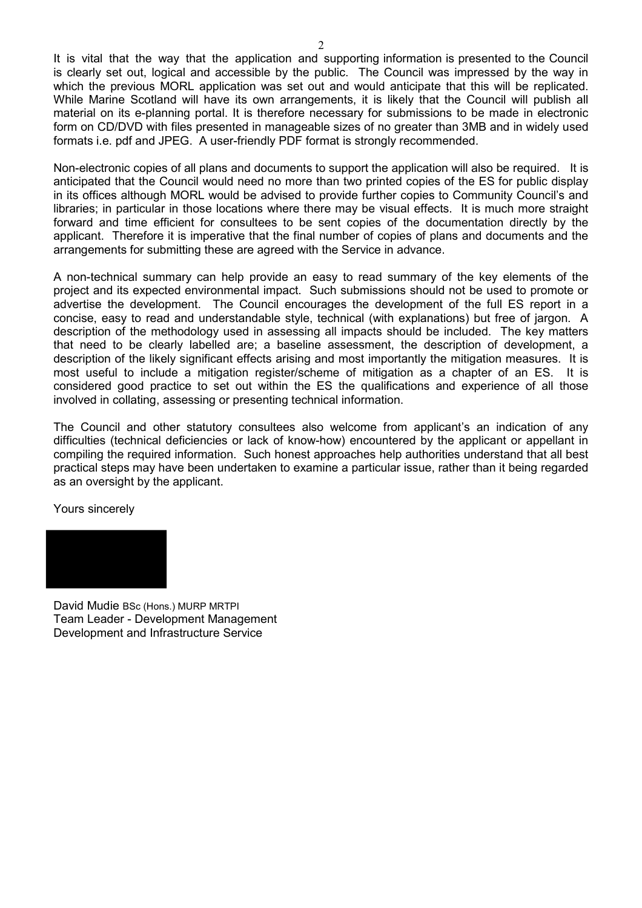It is vital that the way that the application and supporting information is presented to the Council is clearly set out, logical and accessible by the public. The Council was impressed by the way in which the previous MORL application was set out and would anticipate that this will be replicated. While Marine Scotland will have its own arrangements, it is likely that the Council will publish all material on its e-planning portal. It is therefore necessary for submissions to be made in electronic form on CD/DVD with files presented in manageable sizes of no greater than 3MB and in widely used formats i.e. pdf and JPEG. A user-friendly PDF format is strongly recommended.

Non-electronic copies of all plans and documents to support the application will also be required. It is anticipated that the Council would need no more than two printed copies of the ES for public display in its offices although MORL would be advised to provide further copies to Community Council's and libraries; in particular in those locations where there may be visual effects. It is much more straight forward and time efficient for consultees to be sent copies of the documentation directly by the applicant. Therefore it is imperative that the final number of copies of plans and documents and the arrangements for submitting these are agreed with the Service in advance.

A non-technical summary can help provide an easy to read summary of the key elements of the project and its expected environmental impact. Such submissions should not be used to promote or advertise the development. The Council encourages the development of the full ES report in a concise, easy to read and understandable style, technical (with explanations) but free of jargon. A description of the methodology used in assessing all impacts should be included. The key matters that need to be clearly labelled are; a baseline assessment, the description of development, a description of the likely significant effects arising and most importantly the mitigation measures. It is most useful to include a mitigation register/scheme of mitigation as a chapter of an ES. It is considered good practice to set out within the ES the qualifications and experience of all those involved in collating, assessing or presenting technical information.

The Council and other statutory consultees also welcome from applicant's an indication of any difficulties (technical deficiencies or lack of know-how) encountered by the applicant or appellant in compiling the required information. Such honest approaches help authorities understand that all best practical steps may have been undertaken to examine a particular issue, rather than it being regarded as an oversight by the applicant.

Yours sincerely



David Mudie BSc (Hons.) MURP MRTPI Team Leader - Development Management Development and Infrastructure Service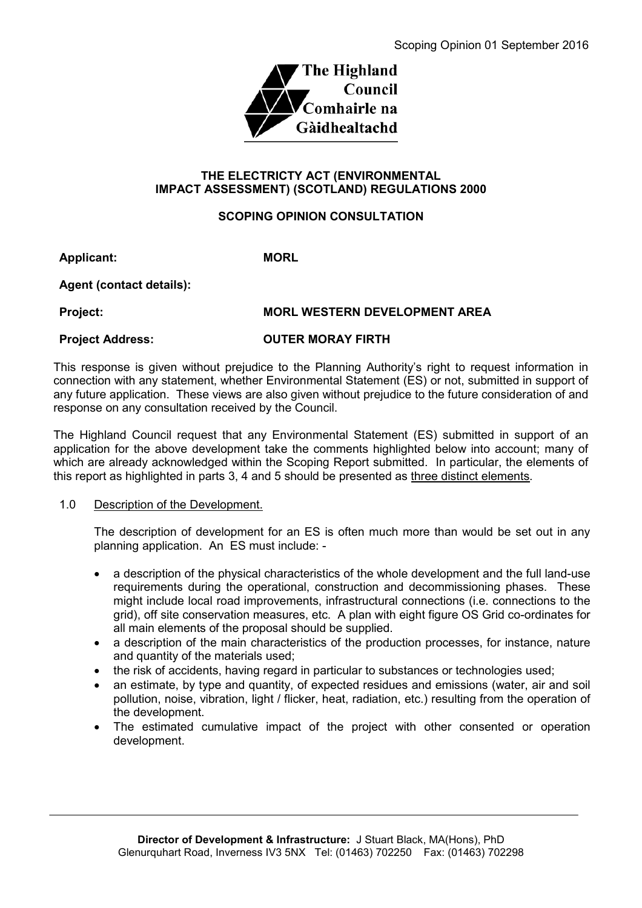

### **THE ELECTRICTY ACT (ENVIRONMENTAL IMPACT ASSESSMENT) (SCOTLAND) REGULATIONS 2000**

# **SCOPING OPINION CONSULTATION**

**Applicant: MORL**

**Agent (contact details):**

### **Project: MORL WESTERN DEVELOPMENT AREA**

# **Project Address: OUTER MORAY FIRTH**

This response is given without prejudice to the Planning Authority's right to request information in connection with any statement, whether Environmental Statement (ES) or not, submitted in support of any future application. These views are also given without prejudice to the future consideration of and response on any consultation received by the Council.

The Highland Council request that any Environmental Statement (ES) submitted in support of an application for the above development take the comments highlighted below into account; many of which are already acknowledged within the Scoping Report submitted. In particular, the elements of this report as highlighted in parts 3, 4 and 5 should be presented as three distinct elements.

# 1.0 Description of the Development.

The description of development for an ES is often much more than would be set out in any planning application. An ES must include: -

- a description of the physical characteristics of the whole development and the full land-use requirements during the operational, construction and decommissioning phases. These might include local road improvements, infrastructural connections (i.e. connections to the grid), off site conservation measures, etc. A plan with eight figure OS Grid co-ordinates for all main elements of the proposal should be supplied.
- a description of the main characteristics of the production processes, for instance, nature and quantity of the materials used;
- the risk of accidents, having regard in particular to substances or technologies used;
- an estimate, by type and quantity, of expected residues and emissions (water, air and soil pollution, noise, vibration, light / flicker, heat, radiation, etc.) resulting from the operation of the development.
- The estimated cumulative impact of the project with other consented or operation development.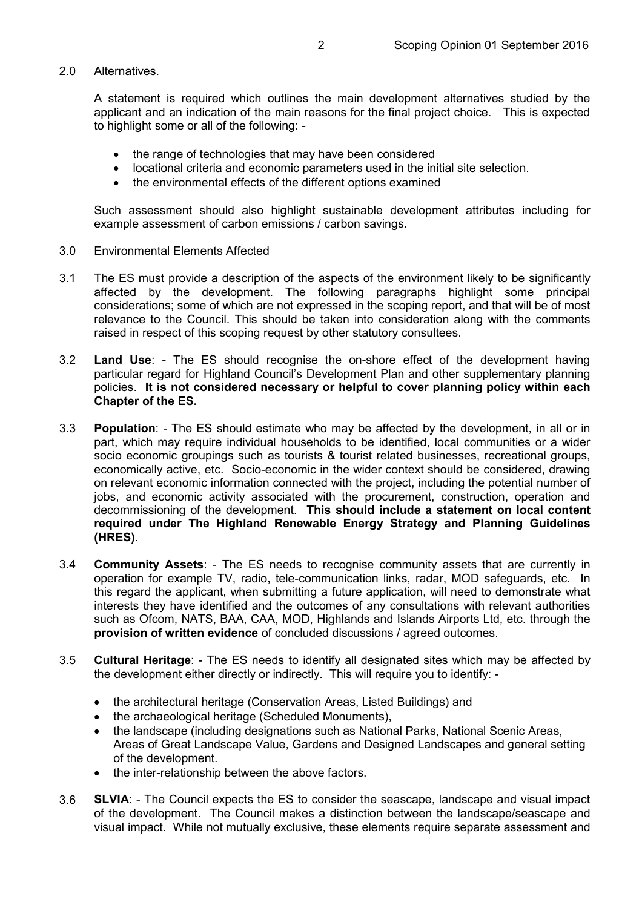#### 2.0 Alternatives.

A statement is required which outlines the main development alternatives studied by the applicant and an indication of the main reasons for the final project choice. This is expected to highlight some or all of the following: -

- the range of technologies that may have been considered
- locational criteria and economic parameters used in the initial site selection.
- the environmental effects of the different options examined

Such assessment should also highlight sustainable development attributes including for example assessment of carbon emissions / carbon savings.

#### 3.0 Environmental Elements Affected

- 3.1 The ES must provide a description of the aspects of the environment likely to be significantly affected by the development. The following paragraphs highlight some principal considerations; some of which are not expressed in the scoping report, and that will be of most relevance to the Council. This should be taken into consideration along with the comments raised in respect of this scoping request by other statutory consultees.
- 3.2 **Land Use**: The ES should recognise the on-shore effect of the development having particular regard for Highland Council's Development Plan and other supplementary planning policies. **It is not considered necessary or helpful to cover planning policy within each Chapter of the ES.**
- 3.3 **Population**: The ES should estimate who may be affected by the development, in all or in part, which may require individual households to be identified, local communities or a wider socio economic groupings such as tourists & tourist related businesses, recreational groups, economically active, etc. Socio-economic in the wider context should be considered, drawing on relevant economic information connected with the project, including the potential number of jobs, and economic activity associated with the procurement, construction, operation and decommissioning of the development. **This should include a statement on local content required under The Highland Renewable Energy Strategy and Planning Guidelines (HRES)**.
- 3.4 **Community Assets**: The ES needs to recognise community assets that are currently in operation for example TV, radio, tele-communication links, radar, MOD safeguards, etc. In this regard the applicant, when submitting a future application, will need to demonstrate what interests they have identified and the outcomes of any consultations with relevant authorities such as Ofcom, NATS, BAA, CAA, MOD, Highlands and Islands Airports Ltd, etc. through the **provision of written evidence** of concluded discussions / agreed outcomes.
- 3.5 **Cultural Heritage**: The ES needs to identify all designated sites which may be affected by the development either directly or indirectly. This will require you to identify: -
	- the architectural heritage (Conservation Areas, Listed Buildings) and
	- the archaeological heritage (Scheduled Monuments),
	- the landscape (including designations such as National Parks, National Scenic Areas, Areas of Great Landscape Value, Gardens and Designed Landscapes and general setting of the development.
	- the inter-relationship between the above factors.
- 3.6 **SLVIA**: The Council expects the ES to consider the seascape, landscape and visual impact of the development. The Council makes a distinction between the landscape/seascape and visual impact. While not mutually exclusive, these elements require separate assessment and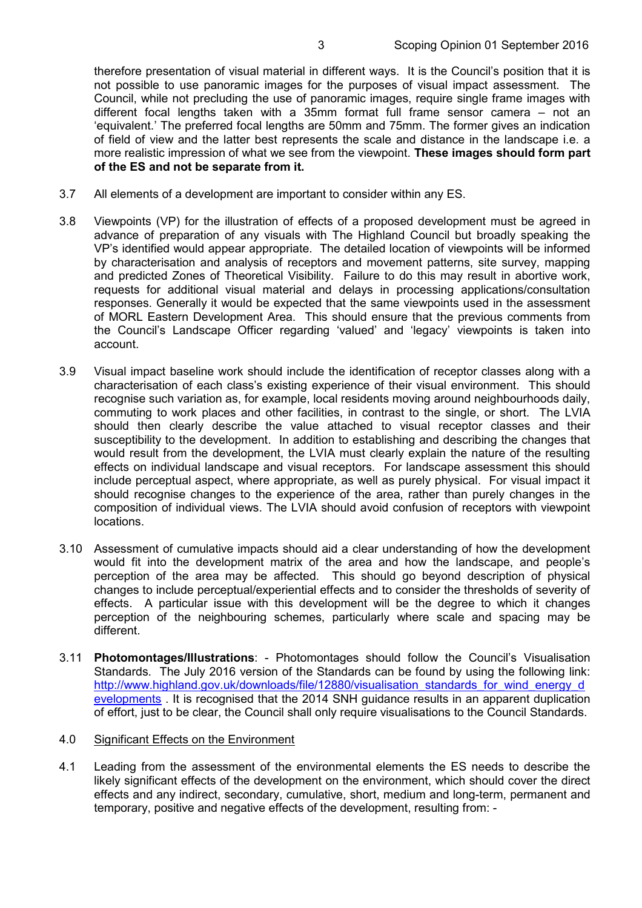therefore presentation of visual material in different ways. It is the Council's position that it is not possible to use panoramic images for the purposes of visual impact assessment. The Council, while not precluding the use of panoramic images, require single frame images with different focal lengths taken with a 35mm format full frame sensor camera – not an 'equivalent.' The preferred focal lengths are 50mm and 75mm. The former gives an indication of field of view and the latter best represents the scale and distance in the landscape i.e. a more realistic impression of what we see from the viewpoint. **These images should form part of the ES and not be separate from it.**

- 3.7 All elements of a development are important to consider within any ES.
- 3.8 Viewpoints (VP) for the illustration of effects of a proposed development must be agreed in advance of preparation of any visuals with The Highland Council but broadly speaking the VP's identified would appear appropriate. The detailed location of viewpoints will be informed by characterisation and analysis of receptors and movement patterns, site survey, mapping and predicted Zones of Theoretical Visibility. Failure to do this may result in abortive work, requests for additional visual material and delays in processing applications/consultation responses. Generally it would be expected that the same viewpoints used in the assessment of MORL Eastern Development Area. This should ensure that the previous comments from the Council's Landscape Officer regarding 'valued' and 'legacy' viewpoints is taken into account.
- 3.9 Visual impact baseline work should include the identification of receptor classes along with a characterisation of each class's existing experience of their visual environment. This should recognise such variation as, for example, local residents moving around neighbourhoods daily, commuting to work places and other facilities, in contrast to the single, or short. The LVIA should then clearly describe the value attached to visual receptor classes and their susceptibility to the development. In addition to establishing and describing the changes that would result from the development, the LVIA must clearly explain the nature of the resulting effects on individual landscape and visual receptors. For landscape assessment this should include perceptual aspect, where appropriate, as well as purely physical. For visual impact it should recognise changes to the experience of the area, rather than purely changes in the composition of individual views. The LVIA should avoid confusion of receptors with viewpoint locations.
- 3.10 Assessment of cumulative impacts should aid a clear understanding of how the development would fit into the development matrix of the area and how the landscape, and people's perception of the area may be affected. This should go beyond description of physical changes to include perceptual/experiential effects and to consider the thresholds of severity of effects. A particular issue with this development will be the degree to which it changes perception of the neighbouring schemes, particularly where scale and spacing may be different.
- 3.11 **Photomontages/Illustrations**: Photomontages should follow the Council's Visualisation Standards. The July 2016 version of the Standards can be found by using the following link: http://www.highland.gov.uk/downloads/file/12880/visualisation\_standards\_for\_wind\_energy\_d evelopments . It is recognised that the 2014 SNH guidance results in an apparent duplication of effort, just to be clear, the Council shall only require visualisations to the Council Standards.

#### 4.0 Significant Effects on the Environment

4.1 Leading from the assessment of the environmental elements the ES needs to describe the likely significant effects of the development on the environment, which should cover the direct effects and any indirect, secondary, cumulative, short, medium and long-term, permanent and temporary, positive and negative effects of the development, resulting from: -